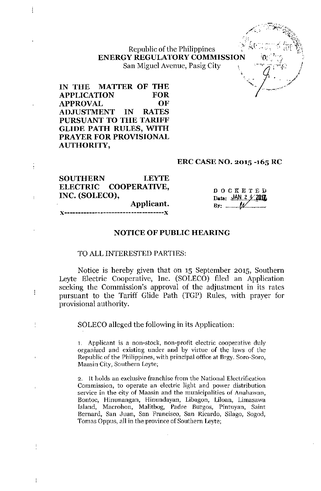Republic of the Philippines ENERGY REGULATORY COMMISSION San Miguel Avenue, Pasig City

/~":.. ,~~~'-;:~;';.:,~~ ".' "Q<..\  $\epsilon$  , *.. i<sup>c</sup> r- '(.~~,\,*

IN THE MATTER OF THE APPLICATION FOR APPROVAL OF ADJUSTMENT IN RATES PURSUANT TO THE TARIFF GLIDE PATH RULES, WITH PRAYER FOR PROVISIONAL AUTHORITY,

)(-------------~----------------------)(

į

 $\mathbf{I}$ 

÷

 $\begin{array}{c} \rule{0pt}{2ex} \rule{0pt}{2ex} \rule{0pt}{2ex} \rule{0pt}{2ex} \rule{0pt}{2ex} \rule{0pt}{2ex} \rule{0pt}{2ex} \rule{0pt}{2ex} \rule{0pt}{2ex} \rule{0pt}{2ex} \rule{0pt}{2ex} \rule{0pt}{2ex} \rule{0pt}{2ex} \rule{0pt}{2ex} \rule{0pt}{2ex} \rule{0pt}{2ex} \rule{0pt}{2ex} \rule{0pt}{2ex} \rule{0pt}{2ex} \rule{0pt}{2ex} \rule{0pt}{2ex} \rule{0pt}{2ex} \rule{0pt}{2ex} \rule{0pt}{$ 

ţ

#### ERC CASE NO. 2015 -165 RC

| <b>SOUTHERN</b> | <b>LEYTE</b>          |                       |
|-----------------|-----------------------|-----------------------|
|                 | ELECTRIC COOPERATIVE, | $D$ O C K E T E D     |
|                 | INC. (SOLECO),        | Date: JAN 2 4 2017    |
|                 | Applicant.            | $By: \qquad \qquad W$ |
|                 |                       |                       |

### NOTICE OF PUBLIC HEARING

### TO ALL INTERESTED PARTIES:

Notice is hereby given that on 15 September 2015, Southern Leyte Electric Cooperative, Inc. (SOLECO) filed an Application seeking the Commission's approval of the adjustment in its rates pursuant to the Tariff Glide Path (TGP) Rules, with prayer for provisional authority.

SOLECO alleged the following in its Application:

1. Applicant is a non-stock, non-profit electric cooperative duly organized and existing under and by virtue of the laws of the Republic of the Philippines, with principal office at Brgy. Sora-Sora, Maasin City, Southern Leyte;

2. It holds an exclusive franchise from the National Electrification Commission, to operate an electric light and power distribution service in the city of Maasin and the municipalities of Anahawan, Bonioe, Hinunangan, Hinundayan, Libagon, Liloan, Limasawa Island, Macrohon, Malitbog, Padre Burgos, Pintuyan, Saint Bernard, San Juan, San Francisco, San Ricardo, Silago, Sogod, Tomas Oppus, all in the province of Southern Leyte;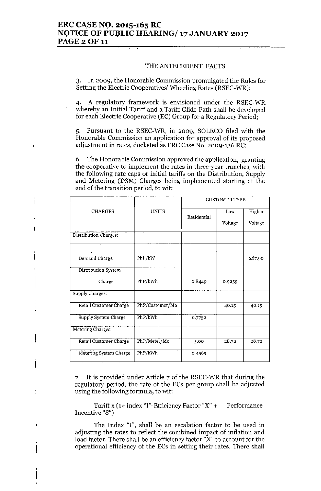#### THE ANTECEDENT FACTS

3. In 2009, the Honorable Commission promulgated the Rules for Setting the Electric Cooperatives' Wheeling Rates (RSEC-WR);

4. A regulatory framework is envisioned under the RSEC-WR whereby an Initial Tariff and a Tariff Glide Path shall be developed for each Electric Cooperative (EC) Group for a Regulatory Period;

5. Pursuant to the RSEC-WR, in 2009, SOLECO filed with the Honorable Commission an application for approval of its proposed adjustment in rates, docketed as ERC Case No. 2009-136 RC;

6. The Honorable Commission approved the application, granting the cooperative to implement the rates in three-year tranches, with the following rate caps or initial tariffs on the Distribution, Supply and Metering (DSM) Charges being implemented starting at the end of the transition period, to wit:

j

١

|                        |                 | <b>CUSTOMER TYPE</b> |         |         |
|------------------------|-----------------|----------------------|---------|---------|
| <b>CHARGES</b>         | <b>UNITS</b>    | Residential          | Low     | Higher  |
|                        |                 |                      | Voltage | Voltage |
| Distribution Charges:  |                 |                      |         |         |
|                        |                 |                      |         |         |
| Demand Charge          | PhP/kW          |                      |         | 267.90  |
| Distribution System    |                 |                      |         |         |
| Charge                 | PhP/kWh         | 0.8449               | 0.9259  |         |
| <b>Supply Charges:</b> |                 |                      |         |         |
| Retail Customer Charge | PhP/Customer/Mo |                      | 40.15   | 40.15   |
| Supply System Charge   | PhP/kWh         | 0.7732               |         |         |
| Metering Charges:      |                 |                      |         |         |
| Retail Customer Charge | PhP/Meter/Mo    | 5.00                 | 28.72   | 28.72   |
| Metering System Charge | PhP/kWh         | 0.4569               |         |         |

7. It is provided under Article 7 of the RSEC-WR that during the regulatory period, the rate of the ECs per group shall be adjusted using the following formula, to wit:

Tariff x  $(1+$  index "I"-Efficiency Factor "X" + Performance Incentive "8")

The Index "I", shall be an escalation factor to be used in adjusting the rates to reflect the combined impact of inflation and load factor. There shall be an efficiency factor "X" to account for the operational efficiency of the ECs in setting their rates. There shall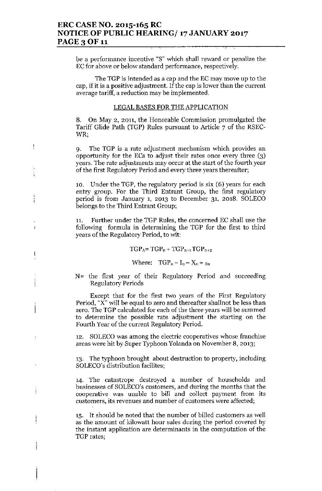## ERC CASE NO. 2015-165 RC NOTICE OF PUBLIC HEARING/ 17 JANUARY 2017 PAGE 3 OF 11

be a performance incentive "S" which shall reward or penalize the EC for above or below standard performance, respectively.

The TGP is intended as a cap and the EC may move up to the cap, if it is a positive adjustment. If the cap is lower than the current average tariff, a reduction may be implemented.

#### LEGAL BASES FOR THE APPLICATION

8. On May 2, 2011, the Honorable Commission promulgated the Tariff Glide Path (TGP) Rules pursuant to Article 7 of the RSEC-WR;

9. The TGP is a rate adjustment mechanism which provides an opportunity for the ECs to adjust their rates once every three (3) years. The rate adjustments may occur at the start of the fourth year of the first Regulatory Period and every three years thereafter;

ŧ

Ť

í.

 $\overline{\phantom{a}}$ 

i

10. Under the TGP, the regulatory period is six (6) years for each entry group. For the Third Entrant Group, the first regulatory period is from January 1, 2013 to December 31, 2018. SOLECO belongs to the Third Entrant Group;

11. Further under the TGP Rules, the concerned EC shall use the following formula in determining the TGP for the first to third years of the Regulatory Period, to wit:

#### $TGP_A = TGP_n + TGP_{n+1}TGP_{n+2}$

Where:  $TGP_n = I_n - X_n + S_n$ 

N= the first year of their Regulatory Period and succeeding Regulatory Periods

Except that for the first two years of the First Regulatory Period, "X" will be equal to zero and thereafter shallnot be less than zero. The TGP calculated for each of the three years will be summed to determine the possible rate adjustment the starting on the Fourth Year of the current Regulatory Period.

12. SOLECO was among the electric cooperatives whose franchise areas were hit by Super Typhoon Yolanda on November 8, 2013;

13. The typhoon brought about destruction to property, including SOLECO's distribution facilites;

14. The catastrope destroyed a number of households and businesses of SOLECO's customers, and during the months that the cooperative was unable to bill and collect payment from its customers, its revenues and number of customers \vere affected;

15. It should be noted that the number of billed customers as well as the amount of kilowatt hour sales during the period covered by the instant application are determinants in the computation of the TGP rates;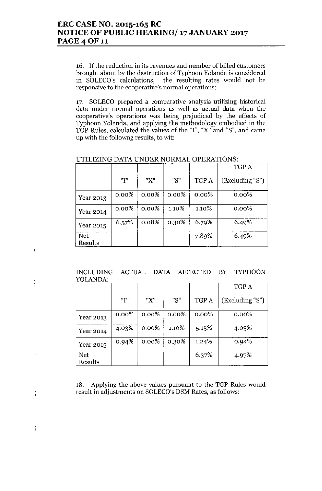16. If the reduction in its revenues and number of billed customers brought about by the destruction of Typhoon Yolanda is considered in SOLECO's calculations, the resulting rates would not be responsive to the cooperative's normal operations;

17. SOLECO prepared a comparative analysis utilizing historical data under normal operations as well as actual data when the cooperative's operations was being prejudiced by the effects of Typhoon Yolanda, and applying the methodology embodied in the TGP Rules, calculated the values of the "1", "X" and "8", and came up with the followng results, to wit:

|                              |          |          |          |          | TGP A           |
|------------------------------|----------|----------|----------|----------|-----------------|
|                              | "I"      | "X"      | "S"      | TGP A    | (Excluding "S") |
| Year 2013                    | $0.00\%$ | $0.00\%$ | $0.00\%$ | $0.00\%$ | $0.00\%$        |
| Year 2014                    | $0.00\%$ | $0.00\%$ | $1.10\%$ | 1.10%    | $0.00\%$        |
| Year 2015                    | 6.57%    | 0.08%    | 0.30%    | 6.79%    | 6.49%           |
| <b>Net</b><br><b>Results</b> |          |          |          | 7.89%    | 6.49%           |

UTILIZING DATA UNDER NORMAL OPERATIONS:

 $\overline{1}$ 

ţ

 $\ddot{ }$ 

÷

 $\frac{1}{2}$ 

INCLUDING ACTUAL DATA AFFECTED BY TYPHOON YOLANDA:

|           |          |          |          |          | TGP A           |
|-----------|----------|----------|----------|----------|-----------------|
|           | "Т"      | "X"      | "S"      | TGP A    | (Excluding "S") |
| Year 2013 | $0.00\%$ | $0.00\%$ | $0.00\%$ | $0.00\%$ | $0.00\%$        |
| Year 2014 | 4.03%    | $0.00\%$ | 1.10%    | 5.13%    | 4.03%           |
| Year 2015 | 0.94%    | $0.00\%$ | 0.30%    | $1.24\%$ | 0.94%           |
| Net       |          |          |          | 6.37%    | 4.97%           |
| Results   |          |          |          |          |                 |

18. Applying the above values pursuant to the TGP Rules would result in adjustments on SOLECO's DSM Rates, as follows: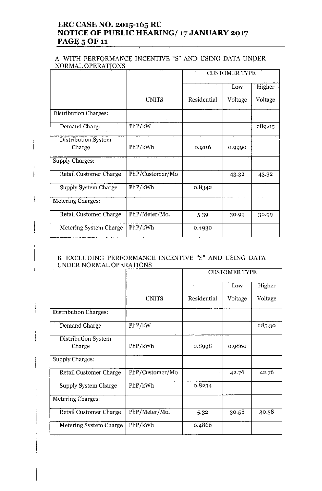# **ERC CASE NO. 2015-165 RC NOTICE OF PUBLIC HEARING/ 17 JANUARY 2017 PAGE 5 OF 11**

### A. WITH PERFORMANCE INCENTIVE "S" AND USING DATA UNDER NORMAL OPERATIONS

|                               |                 | <b>CUSTOMER TYPE</b> |         |         |
|-------------------------------|-----------------|----------------------|---------|---------|
|                               |                 |                      | Low     | Higher  |
|                               | <b>UNITS</b>    | Residential          | Voltage | Voltage |
| <b>Distribution Charges:</b>  |                 |                      |         |         |
| Demand Charge                 | PhP/kW          |                      |         | 289.05  |
| Distribution System<br>Charge | PhP/kWh         | 0.9116               | 0.9990  |         |
| Supply Charges:               |                 |                      |         |         |
| <b>Retail Customer Charge</b> | PhP/Customer/Mo |                      | 43.32   | 43.32   |
| Supply System Charge          | PhP/kWh         | 0.8342               |         |         |
| Metering Charges:             |                 |                      |         |         |
| Retail Customer Charge        | PhP/Meter/Mo.   | 5.39                 | 30.99   | 30.99   |
| Metering System Charge        | PhP/kWh         | 0.4930               |         |         |

 $\frac{1}{1}$ 

### B. EXCLUDING PERFORMANCE INCENTNE "S" AND USING DATA UNDER NORMAL OPERATIONS

|                               |                 | <b>CUSTOMER TYPE</b> |         |         |
|-------------------------------|-----------------|----------------------|---------|---------|
|                               |                 |                      | Low     | Higher  |
|                               | <b>UNITS</b>    | Residential          | Voltage | Voltage |
| <b>Distribution Charges:</b>  |                 |                      |         |         |
| Demand Charge                 | PhP/kW          |                      |         | 285.30  |
| Distribution System<br>Charge | PhP/kWh         | 0.8998               | 0.9860  |         |
| Supply Charges:               |                 |                      |         |         |
| Retail Customer Charge        | PhP/Customer/Mo |                      | 42.76   | 42.76   |
| Supply System Charge          | PhP/kWh         | 0.8234               |         |         |
| Metering Charges:             |                 |                      |         |         |
| Retail Customer Charge        | PhP/Meter/Mo.   | 5.32                 | 30.58   | 30.58   |
| Metering System Charge        | PhP/kWh         | 0.4866               |         |         |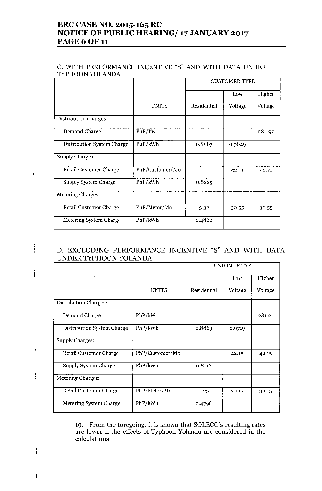# ERC CASE NO. 2015-165 RC NOTICE OF PUBLIC HEARING/ 17JANUARY 2017 **PAGE 6 OF 11**

#### C. WITH PERFORMANCE INCENTIVE "8" AND WITH DATA UNDER TYPHOON YOLANDA

|                            |                 | <b>CUSTOMER TYPE</b> |         |         |
|----------------------------|-----------------|----------------------|---------|---------|
|                            |                 |                      | Low     | Higher  |
|                            | <b>UNITS</b>    | Residential          | Voltage | Voltage |
| Distribution Charges:      |                 |                      |         |         |
| Demand Charge              | PhP/Kw          |                      |         | 284.97  |
| Distribution System Charge | PhP/kWh         | 0.8987               | 0.9849  |         |
| <b>Supply Charges:</b>     |                 |                      |         |         |
| Retail Customer Charge     | PhP/Customer/Mo |                      | 42.71   | 42.71   |
| Supply System Charge       | PhP/kWh         | 0.8225               |         |         |
| Metering Charges:          |                 |                      |         |         |
| Retail Customer Charge     | PhP/Meter/Mo.   | 5.32                 | 30.55   | 30.55   |
| Metering System Charge     | PhP/kWh         | 0.4860               |         |         |

## D. EXCLUDING PERFORMANCE INCENTIVE "8" AND WITH DATA UNDER TYPHOON YOLANDA

|                            |                 | <b>CUSTOMER TYPE</b> |         |         |
|----------------------------|-----------------|----------------------|---------|---------|
|                            |                 |                      | Low     | Higher  |
|                            | <b>UNITS</b>    | Residential          | Voltage | Voltage |
| Distribution Charges:      |                 |                      |         |         |
| Demand Charge              | PhP/kW          |                      |         | 281.21  |
| Distribution System Charge | PhP/kWh         | 0.8869               | 0.9719  |         |
| Supply Charges:            |                 |                      |         |         |
| Retail Customer Charge     | PhP/Customer/Mo |                      | 42.15   | 42.15   |
| Supply System Charge       | PhP/kWh         | 0.8116               |         |         |
| Metering Charges:          |                 |                      |         |         |
| Retail Customer Charge     | PhP/Meter/Mo.   | 5.25                 | 30.15   | 30.15   |
| Metering System Charge     | PhP/kWh         | 0.4796               |         |         |

19. From the foregoing, it is shown that SOLECO's resulting rates are lower if the effects of Typhoon Yolanda are considered in the calculations;

 $\mathsf{l}$ 

 $\bigg\}$ 

 $\overline{1}$ 

ţ

i

 $\mathfrak k$ 

ļ

 $\mathbf{I}$ 

ŧ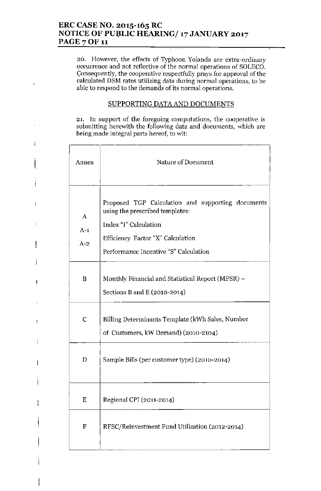20. However, the effects of Typhoon Yolanda are extra-ordinary occurrence and not reflective of the normal operations of SOLECO. Consequently, the cooperative respectfully prays for approval of the calculated DSM rates utilizing data during normal operations, to be able to respond to the demands of its normal operations.

## SUPPORTING DATA AND DOCUMENTS

21. In support of the foregoing computations, the cooperative is submitting herewith the following data and documents, which are being made integral parts hereof, to wit:

Ť

Ţ

ł

| Annex               | Nature of Document                                                                                                                                                                          |
|---------------------|---------------------------------------------------------------------------------------------------------------------------------------------------------------------------------------------|
| A<br>$A-1$<br>$A-2$ | Proposed TGP Calculation and supporting documents<br>using the prescribed templates:<br>Index "I" Calculation<br>Efficiency Factor "X" Calculation<br>Performance Incentive "S" Calculation |
| B                   | Monthly Financial and Statistical Report (MFSR) –<br>Sections B and E (2010-2014)                                                                                                           |
| $\mathbf C$         | Billing Determinants Template (kWh Sales, Number<br>of Customers, kW Demand) (2010-2104)                                                                                                    |
| D                   | Sample Bills (per customer type) (2010-2014)                                                                                                                                                |
| Ε                   | Regional CPI (2011-2014)                                                                                                                                                                    |
| F                   | RFSC/Reinvestment Fund Utilization (2012-2014)                                                                                                                                              |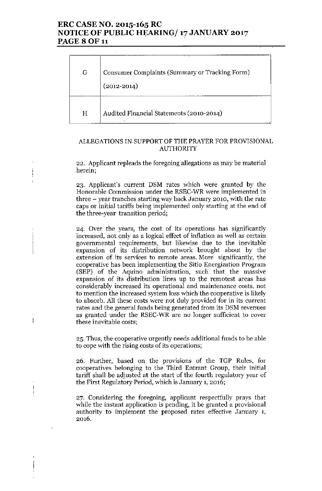# ERC CASE NO. 2015-165 RC NOTICE OF PUBLIC HEARING/ 17 JANUARY 2017 PAGE 8 OF 11

| G | Consumer Complaints (Summary or Tracking Form)<br>$(2012 - 2014)$ |
|---|-------------------------------------------------------------------|
| Н | Audited Financial Statements (2010-2014)                          |

### ALLEGATIONS IN SUPPORT OF THE PRAYER FOR PROVISIONAL AUTHORITY

22. Applicant repleads the foregoing allegations as may be material herein;

j

 $\mathbf{I}$ 

23. Applicant's current DSM rates which were granted by the Honorable Commission under the RSEC-WR \vere implemented in three - year tranches starting way back January 2010, with the rate caps or initial tariffs being implemented only starting at the end of the three-year transition period;

24. Over the years, the cost of its operations has significantly increased, not only as a logical effect of inflation as well as certain governmental requirements, but likewise due to the inevitable expansion of its distribution network brought about by the extension of its services to remote areas. More significantly, the cooperative has been implementing the Sitio Energization Program (SEP) of the Aquino administration, such that the massive expansion of its distribution lines up to the remotest areas has considerably increased its operational and maintenance costs, not to mention the increased system loss which the cooperative is likely to absorb. All these costs were not duly provided for in its current rates and the general funds being generated from its DSM revenues as granted under the RSEC-WR are no longer sufficient to cover these inevitable costs;

25. Thus, the cooperative urgently needs additional funds to be able to cope with the rising costs of its operations;

26. Further, based on the provisions of the TGP Rules, for cooperatives belonging to the Third Entrant Group, their initial tariff shall be adjusted at the start of the fourth regulatory year of the First Regulatory Period, which is January 1, 2016;

27. Considering the foregoing, applicant respectfully prays that while the instant application is pending, it be granted a provisional authority to implement the proposed rates effective January 1, 2016.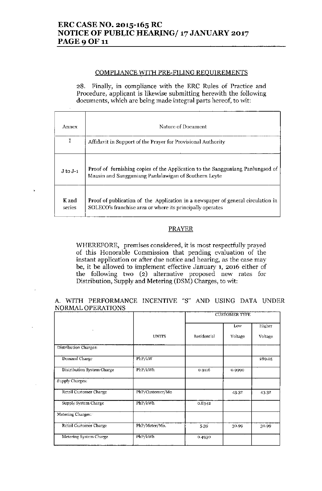# ERC CASE NO. 2015-165 RC NOTICE OF PUBLIC HEARING/ 17 JANUARY 2017 PAGE 9 OF 11

#### COMPLIANCE WITH PRE.FILING REOUIREMENTS

28. Finally, in compliance with the ERC Rules of Practice and Procedure, applicant is likewise submitting herewith the following documents, which are being made integral parts hereof, to wit:

| Annex           | Nature of Document                                                                                                                            |
|-----------------|-----------------------------------------------------------------------------------------------------------------------------------------------|
| I               | Affidavit in Support of the Prayer for Provisional Authority                                                                                  |
| $J$ to $J-1$    | Proof of furnishing copies of the Application to the Sangguniang Panlungsod of<br>Maasin and Sangguniang Panlalawigan of Southern Leyte       |
| K and<br>series | Proof of publication of the Application in a newspaper of general circulation in<br>SOLECO's franchisc area or where its principally operates |

#### PRAYER

WHEREFORE, premises considered, it is most respectfully prayed of this Honorable Commission that pending evaluation of the instant application or after due notice and hearing, as the case may be, it be allowed to implement effective January **1,** 2016 either of the following two  $(2)$  alternative proposed new rates for Distribution, Supply and Metering (DSM) Charges, to wit:

A. WITH PERFORMANCE INCENTIVE "S" AND USING DATA UNDER NORMAL OPERATIONS

|                               |                 | <b>CUSTOMER TYPE</b> |         |         |
|-------------------------------|-----------------|----------------------|---------|---------|
| ۰                             |                 |                      | Low     | Higher  |
|                               | <b>UNITS</b>    | Residential          | Voltage | Voltage |
| Distribution Charges:         |                 |                      |         |         |
| Demand Charge                 | PhP/kW          |                      |         | 289.05  |
| Distribution System Charge    | PhP/kWh         | 0.9116               | 0.9990  |         |
| Supply Charges:               |                 |                      |         |         |
| Retail Customer Charge        | PhP/Customer/Mo |                      | 43.32   | 43.32   |
| Supply System Charge          | PhP/kWh         | 0.8342               |         |         |
| Metering Charges:             |                 |                      |         |         |
| <b>Retail Customer Charge</b> | PhP/Meter/Mo.   | 5.39                 | 30.99   | 30.99   |
| Metering System Charge        | PhP/kWh         | 0.4930               |         |         |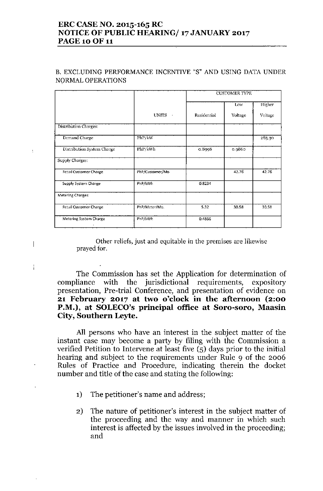# ERC CASENO. 2015-165 RC NOTICE OF PUBLIC HEARING/ 17JANUARY 2017 PAGE 10 OF 11

## B. EXCLUDING PERFORMANCE INCENTIVE "S" AND USING DATA UNDER NQRMAL OPERATIONS

|                               |                        | <b>CUSTOMER TYPE</b> |         |         |
|-------------------------------|------------------------|----------------------|---------|---------|
|                               |                        |                      | Low     | Higher  |
|                               | <b>UNITS</b><br>$\sim$ | Residential          | Voltage | Voltage |
| Distribution Charges:         |                        |                      |         |         |
| Demand Charge                 | PhP/kW                 |                      |         | 285.30  |
| Distribution System Charge    | PhP/kWh                | 0.8998               | 0.9860  |         |
| Supply Charges:               |                        |                      |         |         |
| <b>Retail Customer Charge</b> | PhP/Customer/Mo        |                      | 42.76   | 42.76   |
| Supply System Charge          | PhP/kWh                | 0.8234               |         |         |
| Metering Charges:             |                        |                      |         |         |
| <b>Retail Customer Charge</b> | PhP/Meter/Mo.          | 5.32                 | 30.58   | 30.58   |
| Metering System Charge        | PhP/kWh                | 0.4866               |         |         |

 $\mathfrak{t}$ 

 $\overline{\phantom{a}}$ 

÷

Other reliefs, just and equitable in the premises are likewise prayed for.

The Commission has set the Application for determination of compliance with the jurisdictional requirements, expository presentation, Pre-trial Conference, and presentation of evidence on 21 February 2017 at two o'clock in the afternoon (2:00 P.M.), at SOLECO's principal office at Soro-soro, Maasin City, Southern Leyte.

All persons who have an interest in the subject matter of the instant case may become a party by filing with the Commission a verified Petition to Intervene at least five (5) days prior to the initial hearing and subject to the requirements under Rule 9 of the 2006 Rules of Practice and Procedure, indicating therein the docket number and title of the case and stating the following:

- 1) The petitioner's name and address;
- 2) The nature of petitioner's interest in the subject matter of the proceeding and the way and manner in which such interest is affected by the issues involved in the proceeding; and